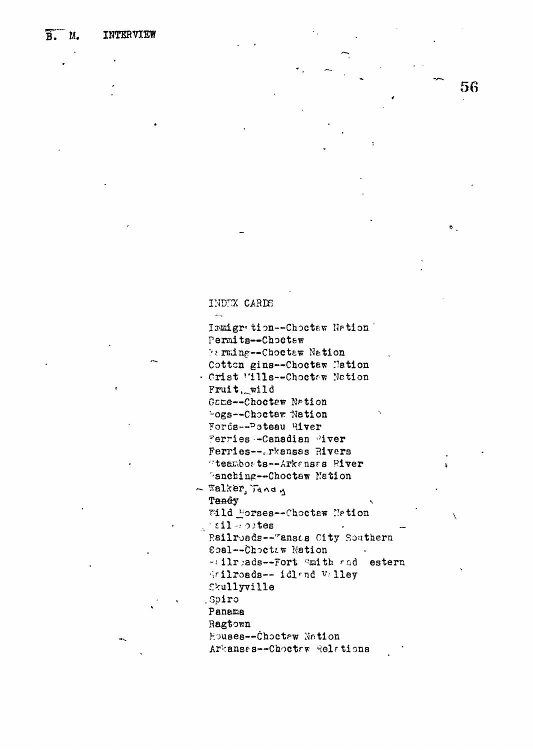$\ddot{\mathbf{a}}$ 

## INDEX CARDS

 $\overline{a}$ Ismigr tion--Choctew Nation Permits--Choctew **Farming--Choctaw Nation** Cotton gins--Choetaw Nation . Crist 'ills--Choctew Nation Fruit, wild Game -- Choctew Nation "ogs--Chocter Nation Fords--Poteau River Ferries --Canadian Mver Ferries--Arkansas Rivers "teamborts--Arkenses River Panching--Choctaw Nation  $\sim$  Talker, Jandy Tandy Wild Forses--Choctew Metion  $\pm 11 - i$  obtes Railroads--"ansts City Southern Coal--Choctaw Nation -: ilreads--Fort Smith and estern Wrilroads-- idland Valley Skullyville Spiro Panama Ragtown Houses--Choctew Nation

56

Arkansas--Chocter Relations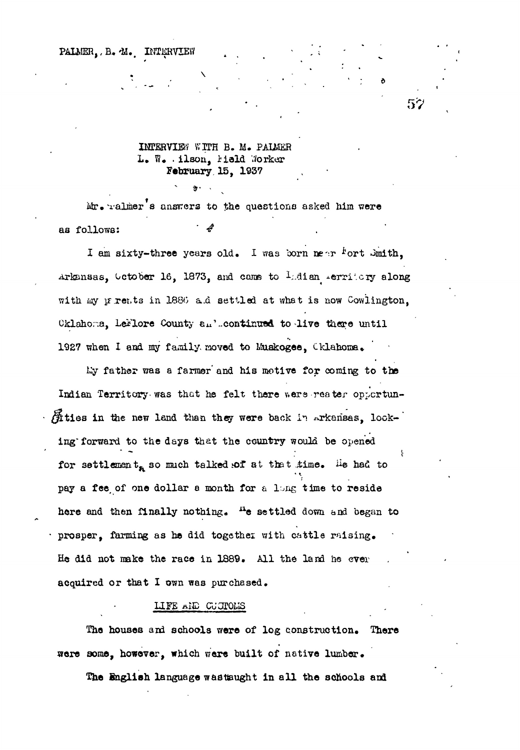PALMER, B. M. INTERVIEW

## INTERVIEW WITH B. M. PALEER L. W. . ilson, hield Worker February 15, 1937

 $\cdot$ 

52

Mr. ralmer's answers to the questions asked him were as follows:

I am sixty-three years old. I was born near fort Smith, Arkansas, October 16, 1873, and came to Lidian lerritory along with my prents in 1886 a.d settled at what is now Cowlington, Cklahoma, LeFlore County an'.continued to live there until 1927 when I and my family moved to Muskogee, Cklahoma.

My father was a farmer and his metive for coming to the Indian Territory was that he felt there were reater opportun-Sities in the new land than they were back in Arkansas, looking forward to the days that the country would be opened for settlement<sub>a</sub> so much talked of at that time. He had to pay a fee of one dollar a month for a long time to reside here and then finally nothing. "e settled down and began to prosper, farming as he did together with cattle raising. He did not make the race in 1889. All the land he ever acquired or that I cwn was purchased.

#### LIFE AND CUCTOMS

The houses and schools were of log construction. There were some, however, which were built of native lumber.

The English language wastsught in all the schools and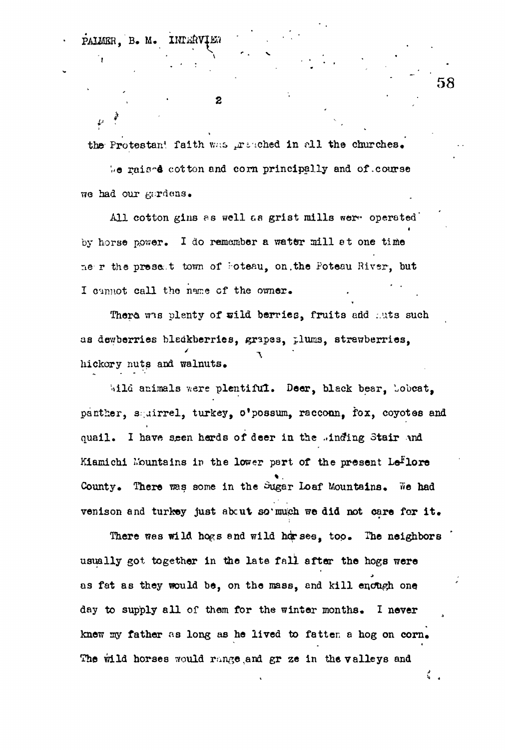**INTERVIET** PAIMER. B. M.

*I*

 $\mathcal{U}$ 

 $\overline{2}$ 

the Protestan! faith was preached in all the churches.

 $\log$  raised cotton and corn principally and of .course we had our gardens.

All cotton gins as well as grist mills were operated i by horse power. I do remember a water mill et one time ne r the present town of Foteau, on. the Poteau River, but I cannot call the name of the owner.

There was plenty of wild berries, fruits add :.uts such as dewberries bledkberries, grapes, plums, strawberries, hickory nuts and walnuts,

Wild animals were plentiful. Deer, black bear, Lobcat, panther, squirrel, turkey, o'possum, racconn, fox, coyotes and quail. I have seen herds of deer in the .inding Stair and Kiamichi Mountains in the lower part of the present  $Le<sup>F</sup>lore$ County. There was some in the Sugar Loaf Mountains. We had venison and turkey just abcut so much we did not care for it.

There was wild hogs and wild herses, top. The neighbors usually got together in the late fall after the hogs were as fat as they would be, on the mass, and kill enough one day to supply all of them for the winter months. I never knew my father as long as he lived to fatten a hog on corn. The wild horses would range, and gr ze in the valleys and

**58**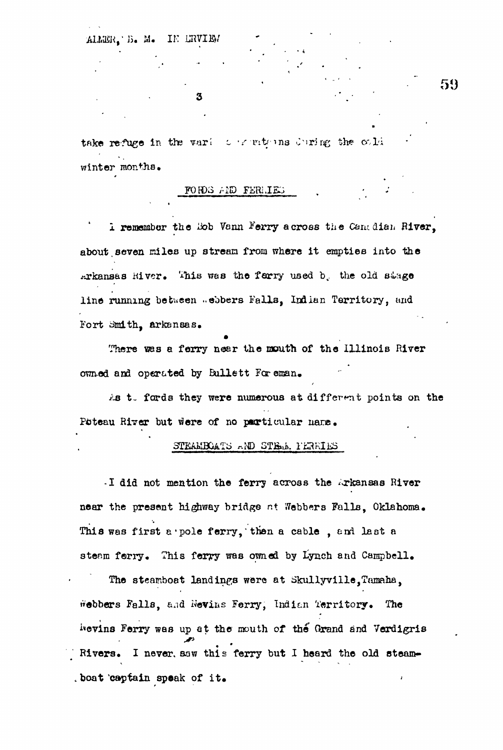ALLER. B. M. IN LRVIEN

take refuge in the variet constructions during the cold winter months.

3

#### FORDS AND FERLIES

I remember the Rob Vann Ferry across the Canadian River, about seven miles up stream from where it empties into the Arkansas Hiver. This was the ferry used b. the old stage line running between webbers Falls, Indian Territory, and Fort Smith, arkansas.

There was a ferry near the mouth of the Illinois River owned and operated by Bullett For eman.

As to fords they were numerous at different points on the Poteau River but were of no particular name.

### STEAMBOATS AND STEAM PERRIES

I did not mention the ferry across the Arkansas River near the present highway bridge at Webbers Falls. Oklahoma. This was first a pole ferry, then a cable, and last a steam forry. This ferry was owned by Lynch and Campbell.

The steamboat landings were at Skullyville, Tamaha, webbers Falls, and Nevins Ferry, Indian Territory. The hevins Ferry was up at the mouth of the Grand and Verdigris Rivers. I never saw this ferry but I heard the old steamboat captain speak of it.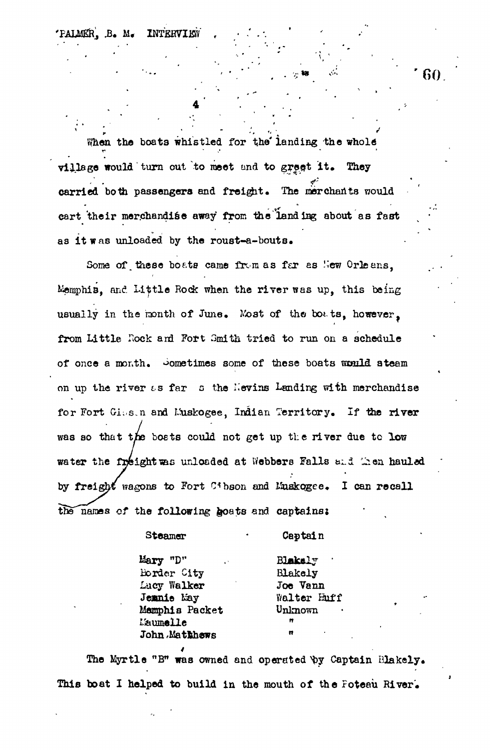PALMER. B. M. INTERVIEW

When the boats whistled for the landing the whole village would turn out to meet and to great it. They carried both passengers and freight. The merchants would eart their merchandise away from the landing about as fast as it was unloaded by the roust-a-bouts.

Some of these boats came from as far as New Orleans. Memphis, and Little Rock when the river was up, this being usually in the month of June. Most of the boats, however, from Little Rock and Fort Smith tried to run on a schedule of once a month. Sometimes some of these boats would ateam on up the river as far a the Nevins Landing with merchandise for Fort Gius.n and Muskogee, Indian Territory. If the river was so that the boats could not get up the river due to low water the freight was unloaded at Webbers Falls and Men hauled by freight wagons to Fort Cibson and Luskogee. I can recall the names of the following hoats and captains:

> Steamer Captain Mary "D" Blakely Border City **Blakely** Lacy Walker Joe Vann Jemnie Eay Walter Euff Memphis Packet Unknown L'aumelle **John Mathhews**

The Myrtle "B" was owned and operated by Captain Blakely. This boat I helped to build in the mouth of the Foteau River.

60.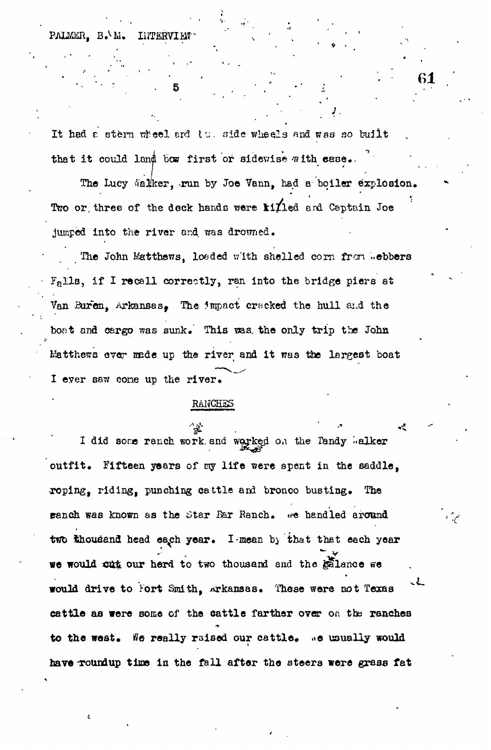PALMER. B. h. **LUTERVIEW** 

It had a stern wheel and the side wheels and was so built that it could land bow first or sidewise with ease.

**61**

**J.**

The Lucy Malker, run by Joe Vann, had a boiler explosion. Two or three of the dock hands were  $\frac{k1}{1}$ ed and Captain Joe jumped into the river and was drowned.

The John Matthews, loaded with shelled corn from .ebbers  $F<sub>e</sub>$ lls, if I recall correctly, ran into the bridge piers at Van Buren, Arkansas, The Impact cracked the hull and the boat and cargo was sunk. This was the only trip the John Matthews ever made up the river and it was the largest boat I ever saw cone up the river.

#### RANCHES

I did some ranch work and weyked on the Tandy Walker outfit. Fifteen years of my life were spent in the saddle. roping, riding, punching cattle and bronco busting. The ranch was known as the Star Bar Ranch. we handled around two thousand head each year. I mean by that that each year we would cut our herd to two thousand and the galance we would drive to Fort Smith, Arkansas. These were not Texas cattle as were some of the cattle farther over on the ranches to the west. We really raised our cattle. We usually would have roundup time in the fall after the steers were grass fat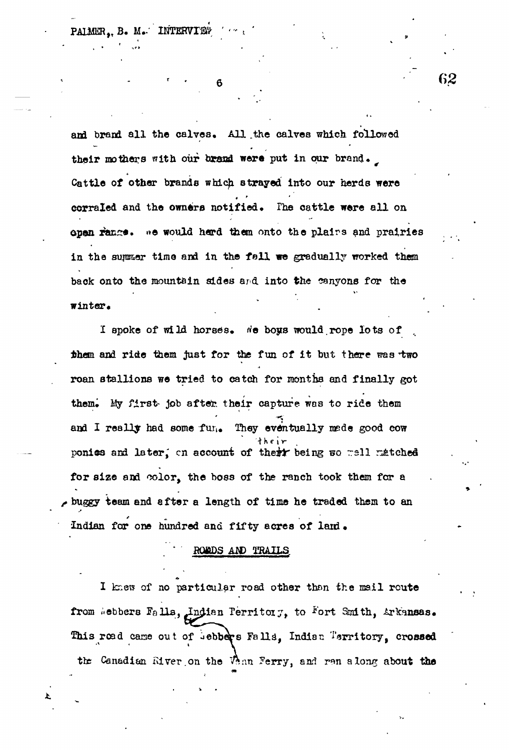PALMER, B. M. INTERVIEW

and brand all the calves. All the calves which followed their mothers with our brand were put in our brand. Cattle of other brands which strayed into our herds were corraled and the owners notified. The cattle were all on open range. we would herd them onto the plairs and prairies in the summer time and in the fall we gradually worked them back onto the mountain sides and into the canyons for the winter.

6

I spoke of wild horses. We boys would rope lots of them and ride them just for the fun of it but there was two roan stallions we tried to catch for months and finally got them. My first- job after their capture was to ride them and I really had some furle They eventually mede good cow ponics and later, on account of their being so well matched for size and color, the boss of the ranch took them for a buggy team and after a length of time he traded them to an Indian for one hundred and fifty acres of land.

# **ROMOS AND TRAILS**

I knew of no particular road other than the mail route from Webbers Falls, Indian Territory, to Fort Smith, Arkansas. This road came out of uebbers Falls, Indian Territory, crossed the Canadian River on the Vann Ferry, and ren along about the

62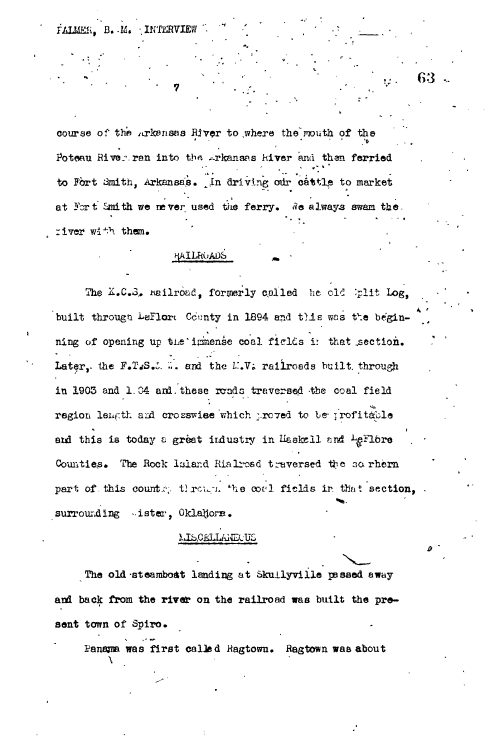FALMER.  $B<sub>1</sub>$ . INTERVI

course of the Arkensas River to where the mouth of the Poteau River ran into the Arkansas River and then ferried to Fort Smith, Arkansas. In driving our cattle to market at Fort Smith we never used the ferry. We always swam the. river with them.

HAILHOADS

The K.C.S. Railroad, formerly called he old built Log, built through LeFlore County in 1894 and this was the beginning of opening up the limense coal fields in that section. Later, the F.T.S.C. .. and the L.V. railroads built through in 1903 and 1.04 and these roads traversed the coal field region lemath and crosswise which proved to be profitable and this is today a great industry in Haskell and LeFlore Counties. The Rock Island Rialroad traversed the sorhern part of this country through the coal fields in that section, surrounding ister, Oklahors.

### MISCELLANECUS

The old steamboat landing at Skullyville passed away and back from the river on the railroad was built the present town of Spiro.

Panama was first called Ragtown. Ragtown was about